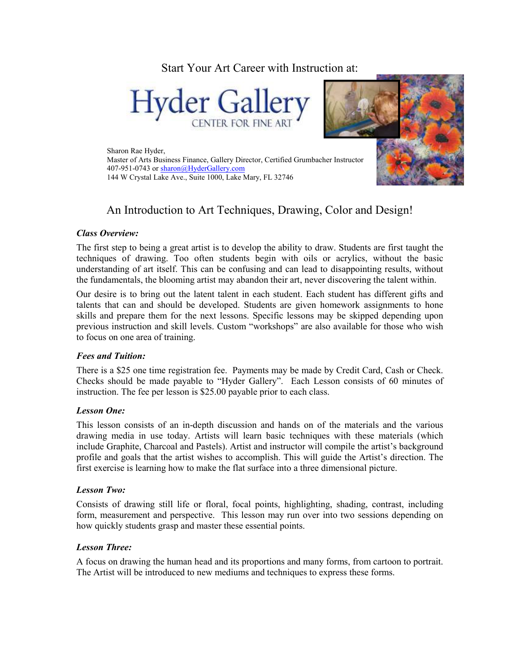Start Your Art Career with Instruction at:





Sharon Rae Hyder, Master of Arts Business Finance, Gallery Director, Certified Grumbacher Instructor 407-951-0743 or sharon@HyderGallery.com 144 W Crystal Lake Ave., Suite 1000, Lake Mary, FL 32746

# An Introduction to Art Techniques, Drawing, Color and Design!

# *Class Overview:*

The first step to being a great artist is to develop the ability to draw. Students are first taught the techniques of drawing. Too often students begin with oils or acrylics, without the basic understanding of art itself. This can be confusing and can lead to disappointing results, without the fundamentals, the blooming artist may abandon their art, never discovering the talent within.

Our desire is to bring out the latent talent in each student. Each student has different gifts and talents that can and should be developed. Students are given homework assignments to hone skills and prepare them for the next lessons. Specific lessons may be skipped depending upon previous instruction and skill levels. Custom "workshops" are also available for those who wish to focus on one area of training.

# *Fees and Tuition:*

There is a \$25 one time registration fee. Payments may be made by Credit Card, Cash or Check. Checks should be made payable to "Hyder Gallery". Each Lesson consists of 60 minutes of instruction. The fee per lesson is \$25.00 payable prior to each class.

#### *Lesson One:*

This lesson consists of an in-depth discussion and hands on of the materials and the various drawing media in use today. Artists will learn basic techniques with these materials (which include Graphite, Charcoal and Pastels). Artist and instructor will compile the artist's background profile and goals that the artist wishes to accomplish. This will guide the Artist's direction. The first exercise is learning how to make the flat surface into a three dimensional picture.

#### *Lesson Two:*

Consists of drawing still life or floral, focal points, highlighting, shading, contrast, including form, measurement and perspective. This lesson may run over into two sessions depending on how quickly students grasp and master these essential points.

# *Lesson Three:*

A focus on drawing the human head and its proportions and many forms, from cartoon to portrait. The Artist will be introduced to new mediums and techniques to express these forms.